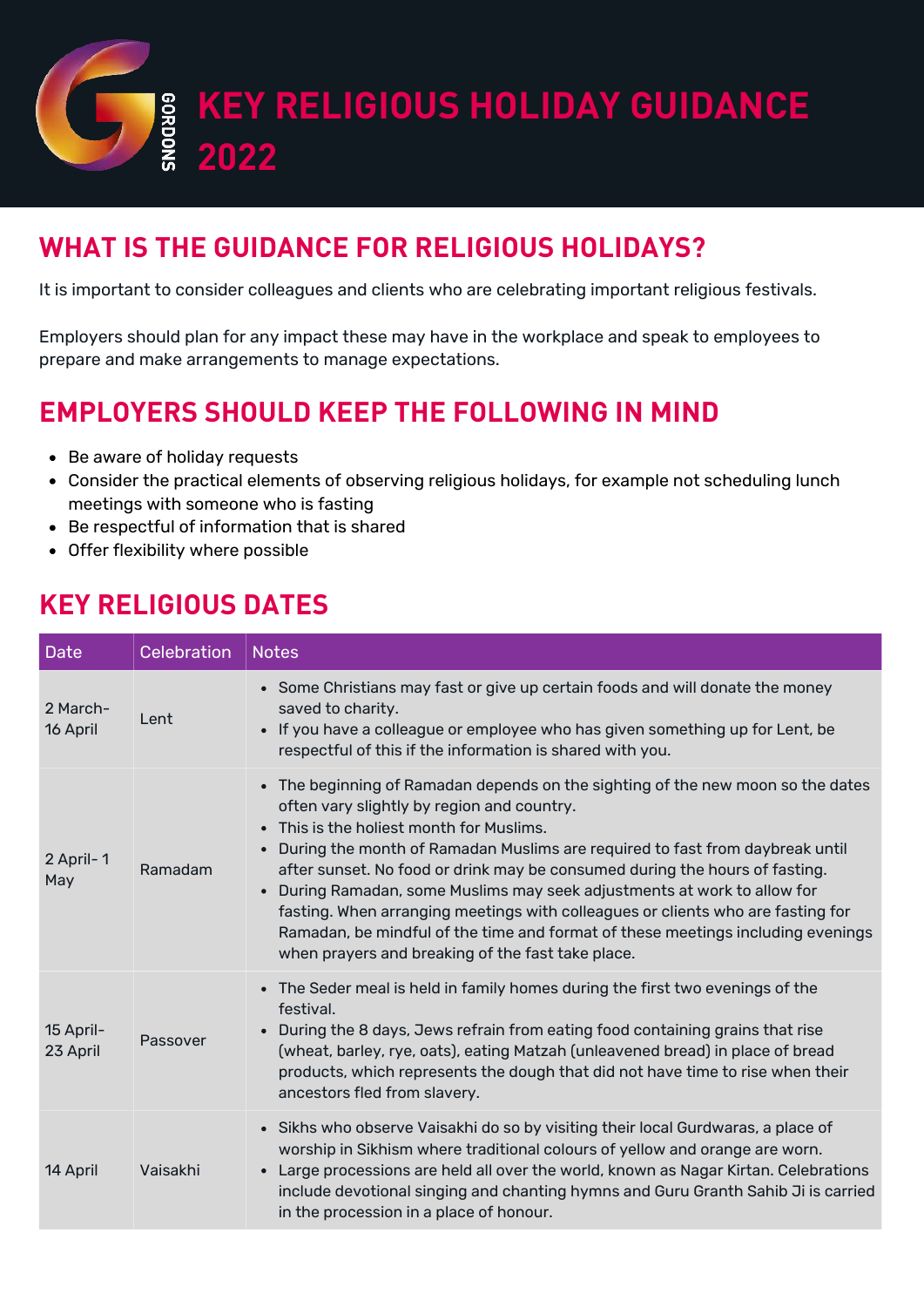

#### **WHAT IS THE GUIDANCE FOR RELIGIOUS HOLIDAYS?**

It is important to consider colleagues and clients who are celebrating important religious festivals.

Employers should plan for any impact these may have in the workplace and speak to employees to prepare and make arrangements to manage expectations.

### **EMPLOYERS SHOULD KEEP THE FOLLOWING IN MIND**

- Be aware of holiday requests
- Consider the practical elements of observing religious holidays, for example not scheduling lunch meetings with someone who is fasting
- Be respectful of information that is shared
- Offer flexibility where possible

#### **KEY RELIGIOUS DATES**

| <b>Date</b>           | Celebration | <b>Notes</b>                                                                                                                                                                                                                                                                                                                                                                                                                                                                                                                                                                                                                                               |
|-----------------------|-------------|------------------------------------------------------------------------------------------------------------------------------------------------------------------------------------------------------------------------------------------------------------------------------------------------------------------------------------------------------------------------------------------------------------------------------------------------------------------------------------------------------------------------------------------------------------------------------------------------------------------------------------------------------------|
| 2 March-<br>16 April  | Lent        | • Some Christians may fast or give up certain foods and will donate the money<br>saved to charity.<br>• If you have a colleague or employee who has given something up for Lent, be<br>respectful of this if the information is shared with you.                                                                                                                                                                                                                                                                                                                                                                                                           |
| 2 April-1<br>May      | Ramadam     | • The beginning of Ramadan depends on the sighting of the new moon so the dates<br>often vary slightly by region and country.<br>• This is the holiest month for Muslims.<br>During the month of Ramadan Muslims are required to fast from daybreak until<br>after sunset. No food or drink may be consumed during the hours of fasting.<br>During Ramadan, some Muslims may seek adjustments at work to allow for<br>$\bullet$<br>fasting. When arranging meetings with colleagues or clients who are fasting for<br>Ramadan, be mindful of the time and format of these meetings including evenings<br>when prayers and breaking of the fast take place. |
| 15 April-<br>23 April | Passover    | • The Seder meal is held in family homes during the first two evenings of the<br>festival.<br>During the 8 days, Jews refrain from eating food containing grains that rise<br>$\bullet$<br>(wheat, barley, rye, oats), eating Matzah (unleavened bread) in place of bread<br>products, which represents the dough that did not have time to rise when their<br>ancestors fled from slavery.                                                                                                                                                                                                                                                                |
| 14 April              | Vaisakhi    | • Sikhs who observe Vaisakhi do so by visiting their local Gurdwaras, a place of<br>worship in Sikhism where traditional colours of yellow and orange are worn.<br>Large processions are held all over the world, known as Nagar Kirtan. Celebrations<br>$\bullet$<br>include devotional singing and chanting hymns and Guru Granth Sahib Ji is carried<br>in the procession in a place of honour.                                                                                                                                                                                                                                                         |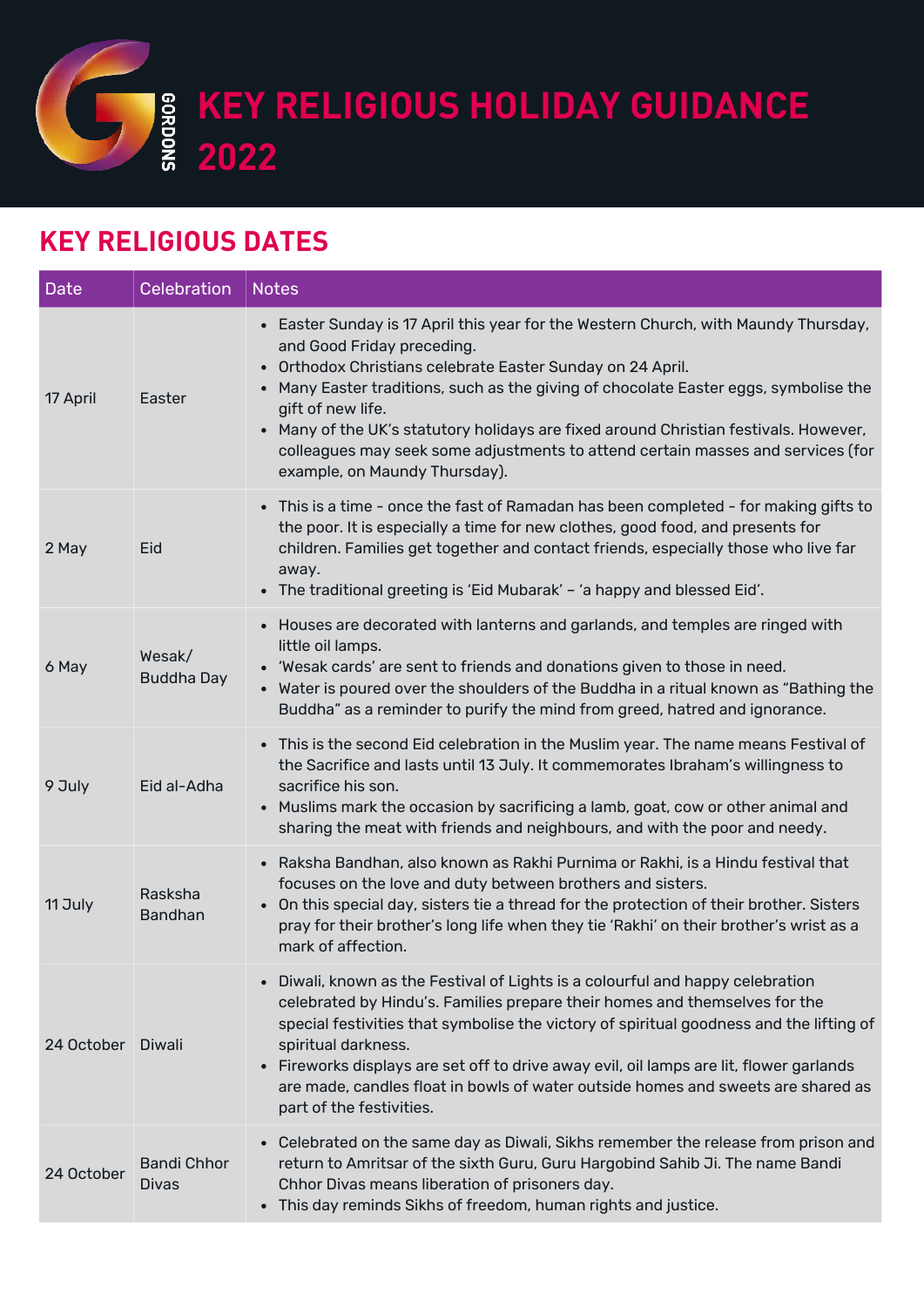**KEY RELIGIOUS HOLIDAY GUIDANCE 2022**<br>**2022** 

## **KEY RELIGIOUS DATES**

| <b>Date</b> | <b>Celebration</b>                 | <b>Notes</b>                                                                                                                                                                                                                                                                                                                                                                                                                                                                                           |
|-------------|------------------------------------|--------------------------------------------------------------------------------------------------------------------------------------------------------------------------------------------------------------------------------------------------------------------------------------------------------------------------------------------------------------------------------------------------------------------------------------------------------------------------------------------------------|
| 17 April    | Easter                             | • Easter Sunday is 17 April this year for the Western Church, with Maundy Thursday,<br>and Good Friday preceding.<br>Orthodox Christians celebrate Easter Sunday on 24 April.<br>• Many Easter traditions, such as the giving of chocolate Easter eggs, symbolise the<br>gift of new life.<br>• Many of the UK's statutory holidays are fixed around Christian festivals. However,<br>colleagues may seek some adjustments to attend certain masses and services (for<br>example, on Maundy Thursday). |
| 2 May       | Eid                                | • This is a time - once the fast of Ramadan has been completed - for making gifts to<br>the poor. It is especially a time for new clothes, good food, and presents for<br>children. Families get together and contact friends, especially those who live far<br>away.<br>• The traditional greeting is 'Eid Mubarak' - 'a happy and blessed Eid'.                                                                                                                                                      |
| 6 May       | Wesak/<br><b>Buddha Day</b>        | • Houses are decorated with lanterns and garlands, and temples are ringed with<br>little oil lamps.<br>• 'Wesak cards' are sent to friends and donations given to those in need.<br>• Water is poured over the shoulders of the Buddha in a ritual known as "Bathing the<br>Buddha" as a reminder to purify the mind from greed, hatred and ignorance.                                                                                                                                                 |
| 9 July      | Eid al-Adha                        | • This is the second Eid celebration in the Muslim year. The name means Festival of<br>the Sacrifice and lasts until 13 July. It commemorates Ibraham's willingness to<br>sacrifice his son.<br>• Muslims mark the occasion by sacrificing a lamb, goat, cow or other animal and<br>sharing the meat with friends and neighbours, and with the poor and needy.                                                                                                                                         |
| 11 July     | Rasksha<br><b>Bandhan</b>          | • Raksha Bandhan, also known as Rakhi Purnima or Rakhi, is a Hindu festival that<br>focuses on the love and duty between brothers and sisters.<br>• On this special day, sisters tie a thread for the protection of their brother. Sisters<br>pray for their brother's long life when they tie 'Rakhi' on their brother's wrist as a<br>mark of affection.                                                                                                                                             |
| 24 October  | Diwali                             | • Diwali, known as the Festival of Lights is a colourful and happy celebration<br>celebrated by Hindu's. Families prepare their homes and themselves for the<br>special festivities that symbolise the victory of spiritual goodness and the lifting of<br>spiritual darkness.<br>• Fireworks displays are set off to drive away evil, oil lamps are lit, flower garlands<br>are made, candles float in bowls of water outside homes and sweets are shared as<br>part of the festivities.              |
| 24 October  | <b>Bandi Chhor</b><br><b>Divas</b> | • Celebrated on the same day as Diwali, Sikhs remember the release from prison and<br>return to Amritsar of the sixth Guru, Guru Hargobind Sahib Ji. The name Bandi<br>Chhor Divas means liberation of prisoners day.<br>• This day reminds Sikhs of freedom, human rights and justice.                                                                                                                                                                                                                |